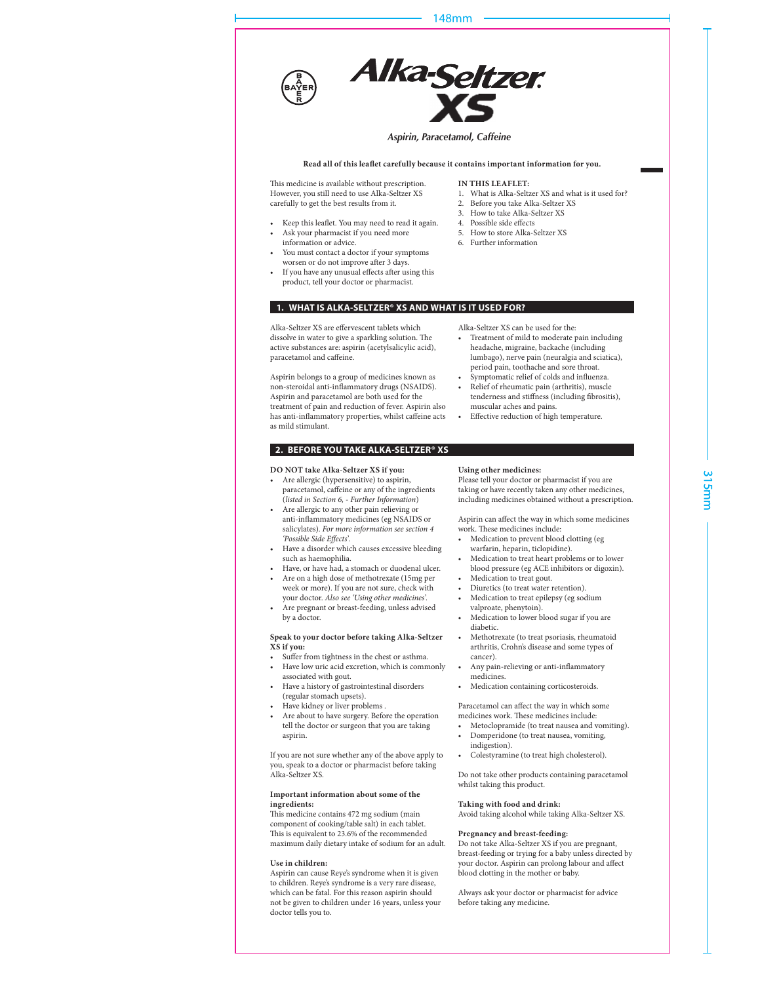

Are pregnant or breast-feeding, unless advised by a doctor.

**Speak to your doctor before taking Alka-Seltzer XS if you:**

- Suffer from tightness in the chest or asthma.
- Have low uric acid excretion, which is commonly associated with gout.
- Have a history of gastrointestinal disorders (regular stomach upsets).
- Have kidney or liver problems .
- Are about to have surgery. Before the operation tell the doctor or surgeon that you are taking aspirin.

If you are not sure whether any of the above apply to you, speak to a doctor or pharmacist before taking Alka-Seltzer XS.

## **Important information about some of the ingredients:**

This medicine contains 472 mg sodium (main component of cooking/table salt) in each tablet. This is equivalent to 23.6% of the recommended maximum daily dietary intake of sodium for an adult.

## **Use in children:**

Aspirin can cause Reye's syndrome when it is given to children. Reye's syndrome is a very rare disease, which can be fatal. For this reason aspirin should not be given to children under 16 years, unless your doctor tells you to.

- valproate, phenytoin).
- Medication to lower blood sugar if you are diabetic.
- Methotrexate (to treat psoriasis, rheumatoid arthritis, Crohn's disease and some types of cancer).
- Any pain-relieving or anti-inflammatory medicines.
- Medication containing corticosteroids.

Paracetamol can affect the way in which some medicines work. These medicines include:

- Metoclopramide (to treat nausea and vomiting). Domperidone (to treat nausea, vomiting,
- indigestion). Colestyramine (to treat high cholesterol).
- Do not take other products containing paracetamol

# **Taking with food and drink:**

whilst taking this product.

Avoid taking alcohol while taking Alka-Seltzer XS.

#### **Pregnancy and breast-feeding:**

Do not take Alka-Seltzer XS if you are pregnant, breast-feeding or trying for a baby unless directed by your doctor. Aspirin can prolong labour and affect blood clotting in the mother or baby.

Always ask your doctor or pharmacist for advice before taking any medicine.